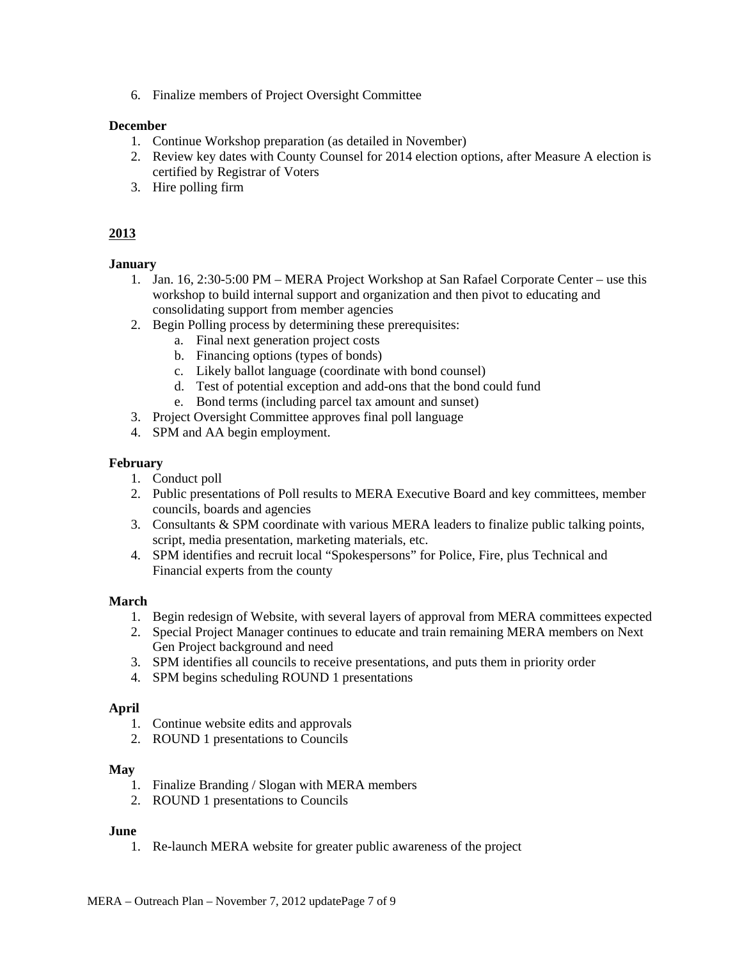6. Finalize members of Project Oversight Committee

## **December**

- 1. Continue Workshop preparation (as detailed in November)
- 2. Review key dates with County Counsel for 2014 election options, after Measure A election is certified by Registrar of Voters
- 3. Hire polling firm

# **2013**

# **January**

- 1. Jan. 16, 2:30-5:00 PM MERA Project Workshop at San Rafael Corporate Center use this workshop to build internal support and organization and then pivot to educating and consolidating support from member agencies
- 2. Begin Polling process by determining these prerequisites:
	- a. Final next generation project costs
	- b. Financing options (types of bonds)
	- c. Likely ballot language (coordinate with bond counsel)
	- d. Test of potential exception and add-ons that the bond could fund
	- e. Bond terms (including parcel tax amount and sunset)
- 3. Project Oversight Committee approves final poll language
- 4. SPM and AA begin employment.

## **February**

- 1. Conduct poll
- 2. Public presentations of Poll results to MERA Executive Board and key committees, member councils, boards and agencies
- 3. Consultants & SPM coordinate with various MERA leaders to finalize public talking points, script, media presentation, marketing materials, etc.
- 4. SPM identifies and recruit local "Spokespersons" for Police, Fire, plus Technical and Financial experts from the county

## **March**

- 1. Begin redesign of Website, with several layers of approval from MERA committees expected
- 2. Special Project Manager continues to educate and train remaining MERA members on Next Gen Project background and need
- 3. SPM identifies all councils to receive presentations, and puts them in priority order
- 4. SPM begins scheduling ROUND 1 presentations

## **April**

- 1. Continue website edits and approvals
- 2. ROUND 1 presentations to Councils

## **May**

- 1. Finalize Branding / Slogan with MERA members
- 2. ROUND 1 presentations to Councils

## **June**

1. Re-launch MERA website for greater public awareness of the project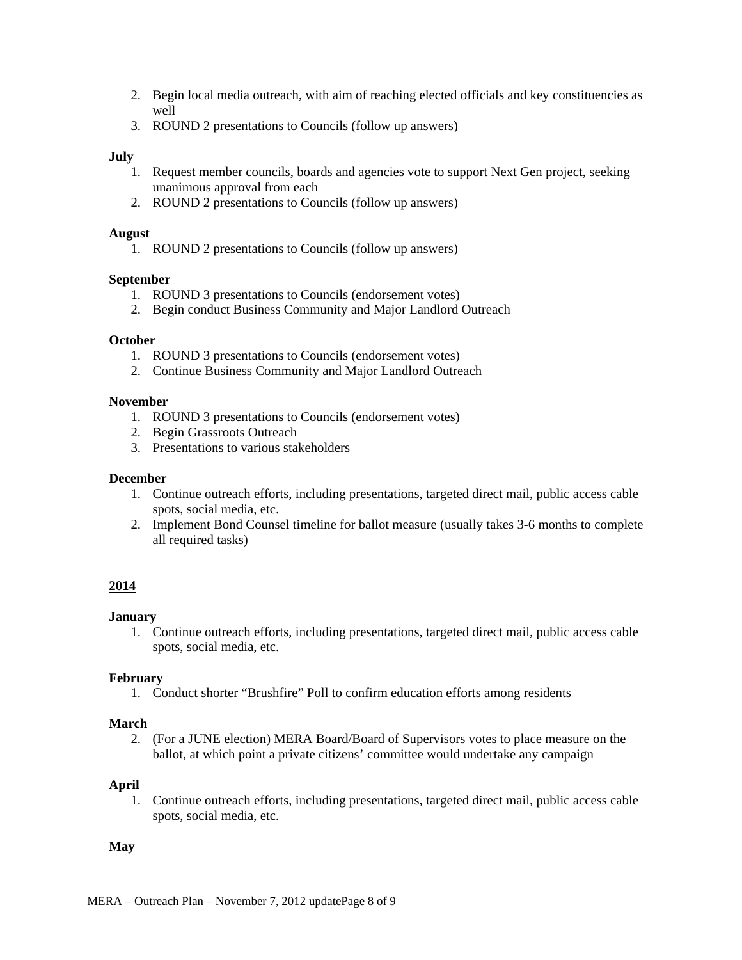- 2. Begin local media outreach, with aim of reaching elected officials and key constituencies as well
- 3. ROUND 2 presentations to Councils (follow up answers)

## **July**

- 1. Request member councils, boards and agencies vote to support Next Gen project, seeking unanimous approval from each
- 2. ROUND 2 presentations to Councils (follow up answers)

### **August**

1. ROUND 2 presentations to Councils (follow up answers)

## **September**

- 1. ROUND 3 presentations to Councils (endorsement votes)
- 2. Begin conduct Business Community and Major Landlord Outreach

### **October**

- 1. ROUND 3 presentations to Councils (endorsement votes)
- 2. Continue Business Community and Major Landlord Outreach

### **November**

- 1. ROUND 3 presentations to Councils (endorsement votes)
- 2. Begin Grassroots Outreach
- 3. Presentations to various stakeholders

### **December**

- 1. Continue outreach efforts, including presentations, targeted direct mail, public access cable spots, social media, etc.
- 2. Implement Bond Counsel timeline for ballot measure (usually takes 3-6 months to complete all required tasks)

## **2014**

## **January**

1. Continue outreach efforts, including presentations, targeted direct mail, public access cable spots, social media, etc.

## **February**

1. Conduct shorter "Brushfire" Poll to confirm education efforts among residents

#### **March**

2. (For a JUNE election) MERA Board/Board of Supervisors votes to place measure on the ballot, at which point a private citizens' committee would undertake any campaign

#### **April**

1. Continue outreach efforts, including presentations, targeted direct mail, public access cable spots, social media, etc.

## **May**